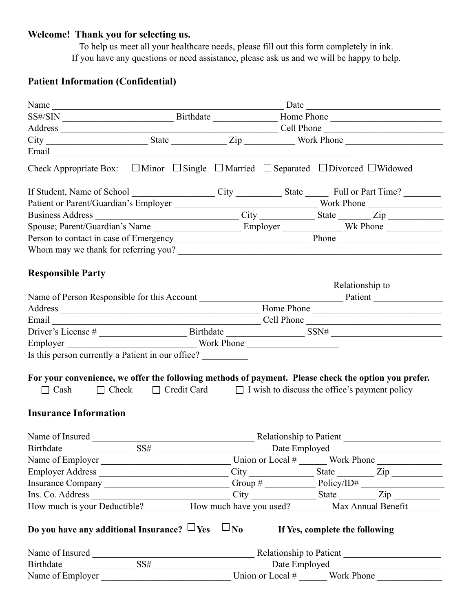## **Welcome! Thank you for selecting us.**

To help us meet all your healthcare needs, please fill out this form completely in ink. If you have any questions or need assistance, please ask us and we will be happy to help.

## **Patient Information (Confidential)**

|                                                                                                                                                                                                                                      |  | Name |  |                 |                                                  |  |  |
|--------------------------------------------------------------------------------------------------------------------------------------------------------------------------------------------------------------------------------------|--|------|--|-----------------|--------------------------------------------------|--|--|
|                                                                                                                                                                                                                                      |  |      |  |                 |                                                  |  |  |
|                                                                                                                                                                                                                                      |  |      |  |                 |                                                  |  |  |
|                                                                                                                                                                                                                                      |  |      |  |                 |                                                  |  |  |
| Email <u>contract and the contract of the contract of the contract of the contract of the contract of the contract of the contract of the contract of the contract of the contract of the contract of the contract of the contra</u> |  |      |  |                 |                                                  |  |  |
| Check Appropriate Box: $\Box$ Minor $\Box$ Single $\Box$ Married $\Box$ Separated $\Box$ Divorced $\Box$ Widowed                                                                                                                     |  |      |  |                 |                                                  |  |  |
| If Student, Name of School City City State Full or Part Time?                                                                                                                                                                        |  |      |  |                 |                                                  |  |  |
|                                                                                                                                                                                                                                      |  |      |  |                 |                                                  |  |  |
|                                                                                                                                                                                                                                      |  |      |  |                 |                                                  |  |  |
|                                                                                                                                                                                                                                      |  |      |  |                 |                                                  |  |  |
|                                                                                                                                                                                                                                      |  |      |  |                 |                                                  |  |  |
|                                                                                                                                                                                                                                      |  |      |  |                 |                                                  |  |  |
| <b>Responsible Party</b>                                                                                                                                                                                                             |  |      |  |                 |                                                  |  |  |
|                                                                                                                                                                                                                                      |  |      |  | Relationship to |                                                  |  |  |
|                                                                                                                                                                                                                                      |  |      |  |                 |                                                  |  |  |
|                                                                                                                                                                                                                                      |  |      |  |                 |                                                  |  |  |
| Email Cell Phone Cell Phone Cell Phone Cell Phone Cell Phone Cell Phone Cell Phone Cell Phone Cell Phone Cell Phone Cell Phone Cell Phone Cell Phone Cell Phone Cell Phone Cell Phone Cell Phone Cell Phone Cell Phone Cell Ph       |  |      |  |                 |                                                  |  |  |
|                                                                                                                                                                                                                                      |  |      |  |                 |                                                  |  |  |
|                                                                                                                                                                                                                                      |  |      |  |                 |                                                  |  |  |
| Is this person currently a Patient in our office?                                                                                                                                                                                    |  |      |  |                 |                                                  |  |  |
| For your convenience, we offer the following methods of payment. Please check the option you prefer.                                                                                                                                 |  |      |  |                 |                                                  |  |  |
| $\Box$ Cash $\Box$ Check $\Box$ Credit Card $\Box$ I wish to discuss the office's payment policy                                                                                                                                     |  |      |  |                 |                                                  |  |  |
| <b>Insurance Information</b>                                                                                                                                                                                                         |  |      |  |                 |                                                  |  |  |
|                                                                                                                                                                                                                                      |  |      |  |                 |                                                  |  |  |
|                                                                                                                                                                                                                                      |  |      |  |                 |                                                  |  |  |
|                                                                                                                                                                                                                                      |  |      |  |                 |                                                  |  |  |
| Employer Address                                                                                                                                                                                                                     |  |      |  |                 | $City$ $\qquad \qquad$ State $\qquad \qquad$ Zip |  |  |
|                                                                                                                                                                                                                                      |  |      |  |                 |                                                  |  |  |
|                                                                                                                                                                                                                                      |  |      |  |                 |                                                  |  |  |
| How much is your Deductible? ___________ How much have you used? _________ Max Annual Benefit _______                                                                                                                                |  |      |  |                 |                                                  |  |  |
| Do you have any additional Insurance? $\Box$ Yes $\Box$ No If Yes, complete the following                                                                                                                                            |  |      |  |                 |                                                  |  |  |
|                                                                                                                                                                                                                                      |  |      |  |                 |                                                  |  |  |
|                                                                                                                                                                                                                                      |  |      |  |                 |                                                  |  |  |
| Name of $\overline{\text{Employee}}$ Union or Local # Work Phone                                                                                                                                                                     |  |      |  |                 |                                                  |  |  |
|                                                                                                                                                                                                                                      |  |      |  |                 |                                                  |  |  |